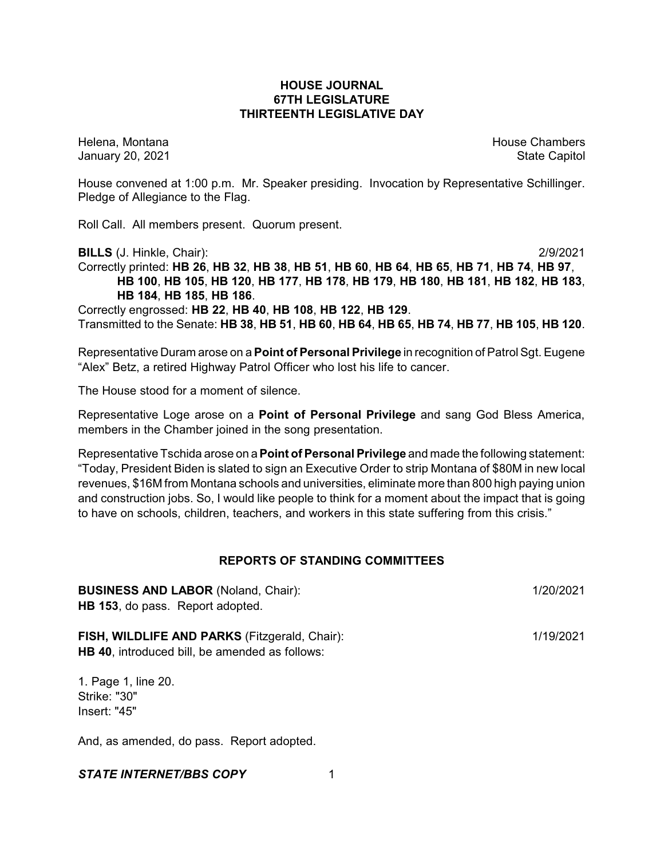## **HOUSE JOURNAL 67TH LEGISLATURE THIRTEENTH LEGISLATIVE DAY**

Helena, Montana House Chambers Chambers Chambers and House Chambers Chambers Chambers Chambers Chambers Chambers Chambers Chambers Chambers Chambers Chambers Chambers Chambers Chambers Chambers Chambers Chambers Chambers C January 20, 2021 **State Capitol** 

House convened at 1:00 p.m. Mr. Speaker presiding. Invocation by Representative Schillinger. Pledge of Allegiance to the Flag.

Roll Call. All members present. Quorum present.

**BILLS** (J. Hinkle, Chair): 2/9/2021

Correctly printed: HB 26, HB 32, HB 38, HB 51, HB 60, HB 64, HB 65, HB 71, HB 74, HB 97, **HB 100**, **HB 105**, **HB 120**, **HB 177**, **HB 178**, **HB 179**, **HB 180**, **HB 181**, **HB 182**, **HB 183**, **HB 184**, **HB 185**, **HB 186**. Correctly engrossed: **HB 22**, **HB 40**, **HB 108**, **HB 122**, **HB 129**.

Transmitted to the Senate: **HB 38**, **HB 51**, **HB 60**, **HB 64**, **HB 65**, **HB 74**, **HB 77**, **HB 105**, **HB 120**.

Representative Duram arose on a **Point of Personal Privilege** in recognition of Patrol Sgt. Eugene "Alex" Betz, a retired Highway Patrol Officer who lost his life to cancer.

The House stood for a moment of silence.

Representative Loge arose on a **Point of Personal Privilege** and sang God Bless America, members in the Chamber joined in the song presentation.

Representative Tschida arose on a**Point of Personal Privilege** and made the following statement: "Today, President Biden is slated to sign an Executive Order to strip Montana of \$80M in new local revenues, \$16M from Montana schools and universities, eliminate more than 800 high paying union and construction jobs. So, I would like people to think for a moment about the impact that is going to have on schools, children, teachers, and workers in this state suffering from this crisis."

## **REPORTS OF STANDING COMMITTEES**

| <b>BUSINESS AND LABOR (Noland, Chair):</b><br><b>HB 153, do pass. Report adopted.</b>                         | 1/20/2021 |
|---------------------------------------------------------------------------------------------------------------|-----------|
| <b>FISH, WILDLIFE AND PARKS (Fitzgerald, Chair):</b><br><b>HB 40, introduced bill, be amended as follows:</b> | 1/19/2021 |
| 1. Page 1, line 20.<br>Strike: "30"                                                                           |           |

Strike: "30" Insert: "45"

And, as amended, do pass. Report adopted.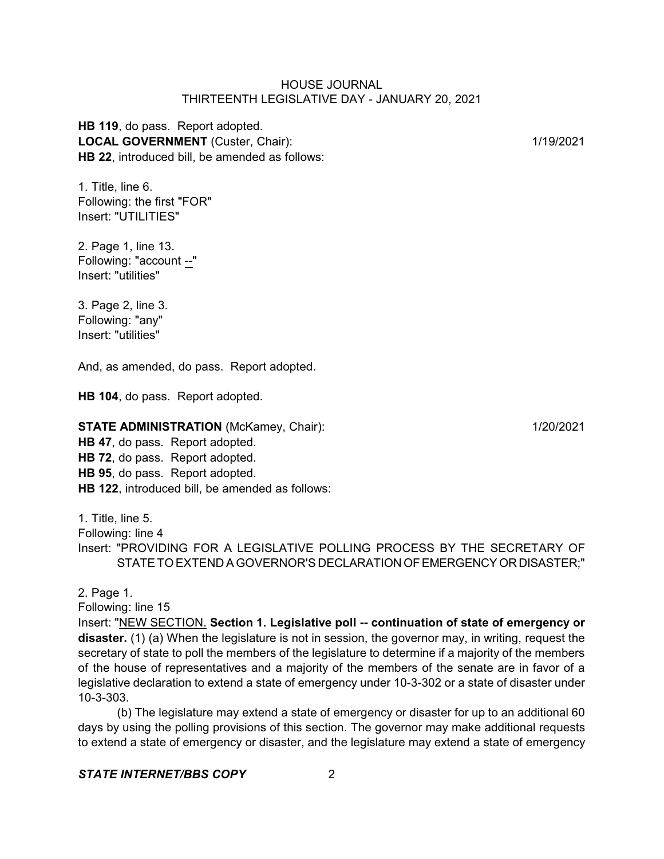**HB 119**, do pass. Report adopted. LOCAL GOVERNMENT (Custer, Chair): 1/19/2021 **HB 22**, introduced bill, be amended as follows:

1. Title, line 6. Following: the first "FOR" Insert: "UTILITIES"

2. Page 1, line 13. Following: "account --" Insert: "utilities"

3. Page 2, line 3. Following: "any" Insert: "utilities"

And, as amended, do pass. Report adopted.

**HB 104**, do pass. Report adopted.

## **STATE ADMINISTRATION** (McKamey, Chair): 1/20/2021

**HB 47**, do pass. Report adopted. **HB 72**, do pass. Report adopted. **HB 95**, do pass. Report adopted. **HB 122**, introduced bill, be amended as follows:

1. Title, line 5.

Following: line 4

Insert: "PROVIDING FOR A LEGISLATIVE POLLING PROCESS BY THE SECRETARY OF STATETO EXTEND A GOVERNOR'S DECLARATIONOFEMERGENCYOR DISASTER;"

2. Page 1. Following: line 15 Insert: "NEW SECTION. **Section 1. Legislative poll -- continuation of state of emergency or disaster.** (1) (a) When the legislature is not in session, the governor may, in writing, request the secretary of state to poll the members of the legislature to determine if a majority of the members of the house of representatives and a majority of the members of the senate are in favor of a legislative declaration to extend a state of emergency under 10-3-302 or a state of disaster under 10-3-303.

(b) The legislature may extend a state of emergency or disaster for up to an additional 60 days by using the polling provisions of this section. The governor may make additional requests to extend a state of emergency or disaster, and the legislature may extend a state of emergency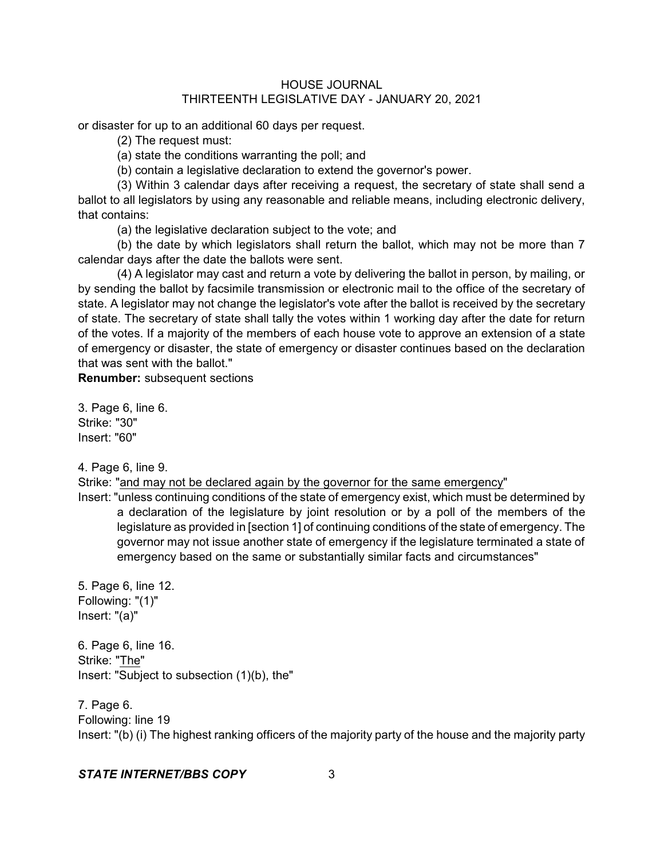or disaster for up to an additional 60 days per request.

(2) The request must:

(a) state the conditions warranting the poll; and

(b) contain a legislative declaration to extend the governor's power.

(3) Within 3 calendar days after receiving a request, the secretary of state shall send a ballot to all legislators by using any reasonable and reliable means, including electronic delivery, that contains:

(a) the legislative declaration subject to the vote; and

(b) the date by which legislators shall return the ballot, which may not be more than 7 calendar days after the date the ballots were sent.

(4) A legislator may cast and return a vote by delivering the ballot in person, by mailing, or by sending the ballot by facsimile transmission or electronic mail to the office of the secretary of state. A legislator may not change the legislator's vote after the ballot is received by the secretary of state. The secretary of state shall tally the votes within 1 working day after the date for return of the votes. If a majority of the members of each house vote to approve an extension of a state of emergency or disaster, the state of emergency or disaster continues based on the declaration that was sent with the ballot."

**Renumber:** subsequent sections

3. Page 6, line 6. Strike: "30" Insert: "60"

4. Page 6, line 9.

Strike: "and may not be declared again by the governor for the same emergency"

Insert: "unless continuing conditions of the state of emergency exist, which must be determined by a declaration of the legislature by joint resolution or by a poll of the members of the legislature as provided in [section 1] of continuing conditions of the state of emergency. The governor may not issue another state of emergency if the legislature terminated a state of emergency based on the same or substantially similar facts and circumstances"

5. Page 6, line 12. Following: "(1)" Insert: "(a)"

6. Page 6, line 16. Strike: "The" Insert: "Subject to subsection (1)(b), the"

7. Page 6. Following: line 19 Insert: "(b) (i) The highest ranking officers of the majority party of the house and the majority party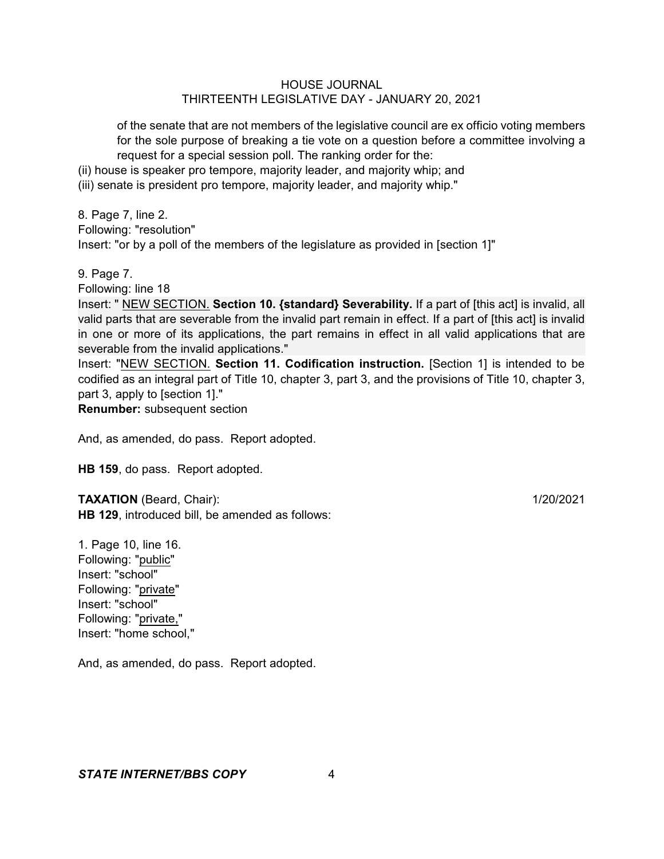of the senate that are not members of the legislative council are ex officio voting members for the sole purpose of breaking a tie vote on a question before a committee involving a request for a special session poll. The ranking order for the:

(ii) house is speaker pro tempore, majority leader, and majority whip; and

(iii) senate is president pro tempore, majority leader, and majority whip."

8. Page 7, line 2. Following: "resolution" Insert: "or by a poll of the members of the legislature as provided in [section 1]"

9. Page 7.

Following: line 18

Insert: " NEW SECTION. **Section 10. {standard} Severability.** If a part of [this act] is invalid, all valid parts that are severable from the invalid part remain in effect. If a part of [this act] is invalid in one or more of its applications, the part remains in effect in all valid applications that are severable from the invalid applications."

Insert: "NEW SECTION. **Section 11. Codification instruction.** [Section 1] is intended to be codified as an integral part of Title 10, chapter 3, part 3, and the provisions of Title 10, chapter 3, part 3, apply to [section 1]."

**Renumber:** subsequent section

And, as amended, do pass. Report adopted.

**HB 159**, do pass. Report adopted.

**TAXATION** (Beard, Chair): 1/20/2021 **HB 129**, introduced bill, be amended as follows:

1. Page 10, line 16. Following: "public" Insert: "school" Following: "private" Insert: "school" Following: "private," Insert: "home school,"

And, as amended, do pass. Report adopted.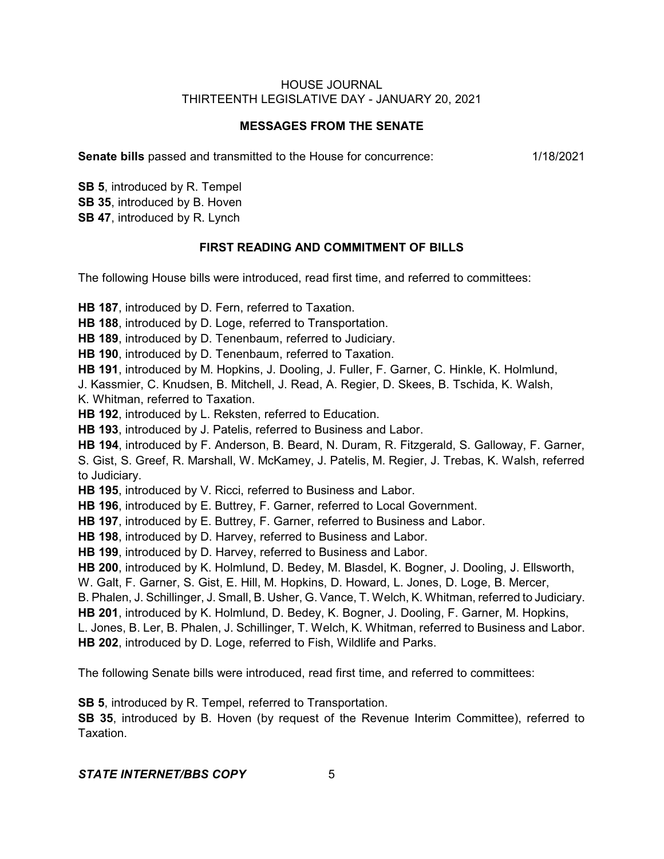# **MESSAGES FROM THE SENATE**

**Senate bills** passed and transmitted to the House for concurrence: 1/18/2021

**SB 5**, introduced by R. Tempel **SB 35**, introduced by B. Hoven **SB 47**, introduced by R. Lynch

# **FIRST READING AND COMMITMENT OF BILLS**

The following House bills were introduced, read first time, and referred to committees:

**HB 187**, introduced by D. Fern, referred to Taxation.

**HB 188**, introduced by D. Loge, referred to Transportation.

**HB 189**, introduced by D. Tenenbaum, referred to Judiciary.

**HB 190**, introduced by D. Tenenbaum, referred to Taxation.

**HB 191**, introduced by M. Hopkins, J. Dooling, J. Fuller, F. Garner, C. Hinkle, K. Holmlund,

J. Kassmier, C. Knudsen, B. Mitchell, J. Read, A. Regier, D. Skees, B. Tschida, K. Walsh, K. Whitman, referred to Taxation.

**HB 192**, introduced by L. Reksten, referred to Education.

**HB 193**, introduced by J. Patelis, referred to Business and Labor.

**HB 194**, introduced by F. Anderson, B. Beard, N. Duram, R. Fitzgerald, S. Galloway, F. Garner, S. Gist, S. Greef, R. Marshall, W. McKamey, J. Patelis, M. Regier, J. Trebas, K. Walsh, referred to Judiciary.

**HB 195**, introduced by V. Ricci, referred to Business and Labor.

**HB 196**, introduced by E. Buttrey, F. Garner, referred to Local Government.

**HB 197**, introduced by E. Buttrey, F. Garner, referred to Business and Labor.

**HB 198**, introduced by D. Harvey, referred to Business and Labor.

**HB 199**, introduced by D. Harvey, referred to Business and Labor.

**HB 200**, introduced by K. Holmlund, D. Bedey, M. Blasdel, K. Bogner, J. Dooling, J. Ellsworth,

W. Galt, F. Garner, S. Gist, E. Hill, M. Hopkins, D. Howard, L. Jones, D. Loge, B. Mercer,

B. Phalen, J. Schillinger, J. Small, B. Usher, G. Vance, T. Welch, K. Whitman, referred to Judiciary.

**HB 201**, introduced by K. Holmlund, D. Bedey, K. Bogner, J. Dooling, F. Garner, M. Hopkins,

L. Jones, B. Ler, B. Phalen, J. Schillinger, T. Welch, K. Whitman, referred to Business and Labor. **HB 202**, introduced by D. Loge, referred to Fish, Wildlife and Parks.

The following Senate bills were introduced, read first time, and referred to committees:

**SB 5**, introduced by R. Tempel, referred to Transportation.

**SB 35**, introduced by B. Hoven (by request of the Revenue Interim Committee), referred to Taxation.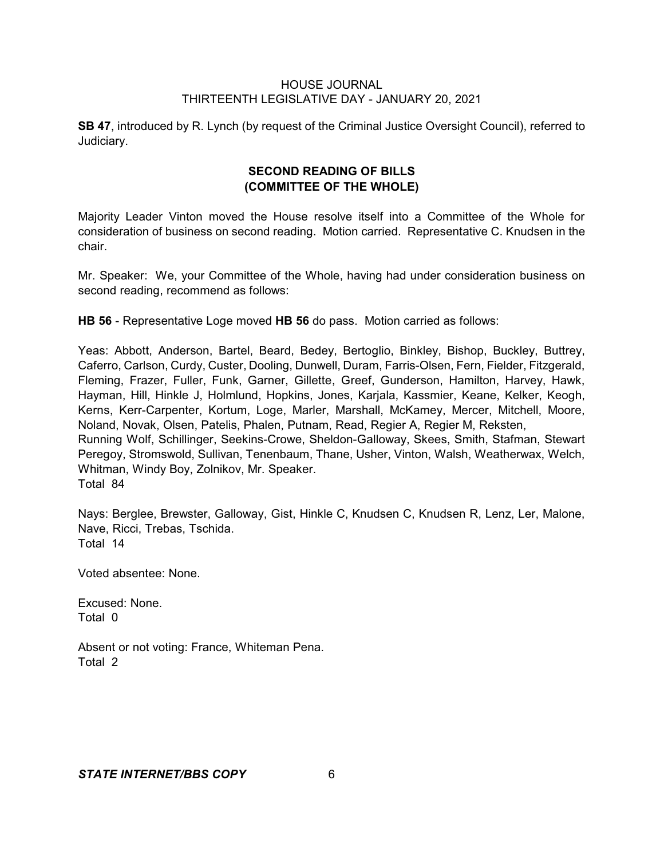**SB 47**, introduced by R. Lynch (by request of the Criminal Justice Oversight Council), referred to Judiciary.

# **SECOND READING OF BILLS (COMMITTEE OF THE WHOLE)**

Majority Leader Vinton moved the House resolve itself into a Committee of the Whole for consideration of business on second reading. Motion carried. Representative C. Knudsen in the chair.

Mr. Speaker: We, your Committee of the Whole, having had under consideration business on second reading, recommend as follows:

**HB 56** - Representative Loge moved **HB 56** do pass. Motion carried as follows:

Yeas: Abbott, Anderson, Bartel, Beard, Bedey, Bertoglio, Binkley, Bishop, Buckley, Buttrey, Caferro, Carlson, Curdy, Custer, Dooling, Dunwell, Duram, Farris-Olsen, Fern, Fielder, Fitzgerald, Fleming, Frazer, Fuller, Funk, Garner, Gillette, Greef, Gunderson, Hamilton, Harvey, Hawk, Hayman, Hill, Hinkle J, Holmlund, Hopkins, Jones, Karjala, Kassmier, Keane, Kelker, Keogh, Kerns, Kerr-Carpenter, Kortum, Loge, Marler, Marshall, McKamey, Mercer, Mitchell, Moore, Noland, Novak, Olsen, Patelis, Phalen, Putnam, Read, Regier A, Regier M, Reksten, Running Wolf, Schillinger, Seekins-Crowe, Sheldon-Galloway, Skees, Smith, Stafman, Stewart

Peregoy, Stromswold, Sullivan, Tenenbaum, Thane, Usher, Vinton, Walsh, Weatherwax, Welch, Whitman, Windy Boy, Zolnikov, Mr. Speaker. Total 84

Nays: Berglee, Brewster, Galloway, Gist, Hinkle C, Knudsen C, Knudsen R, Lenz, Ler, Malone, Nave, Ricci, Trebas, Tschida. Total 14

Voted absentee: None.

Excused: None. Total 0

Absent or not voting: France, Whiteman Pena. Total 2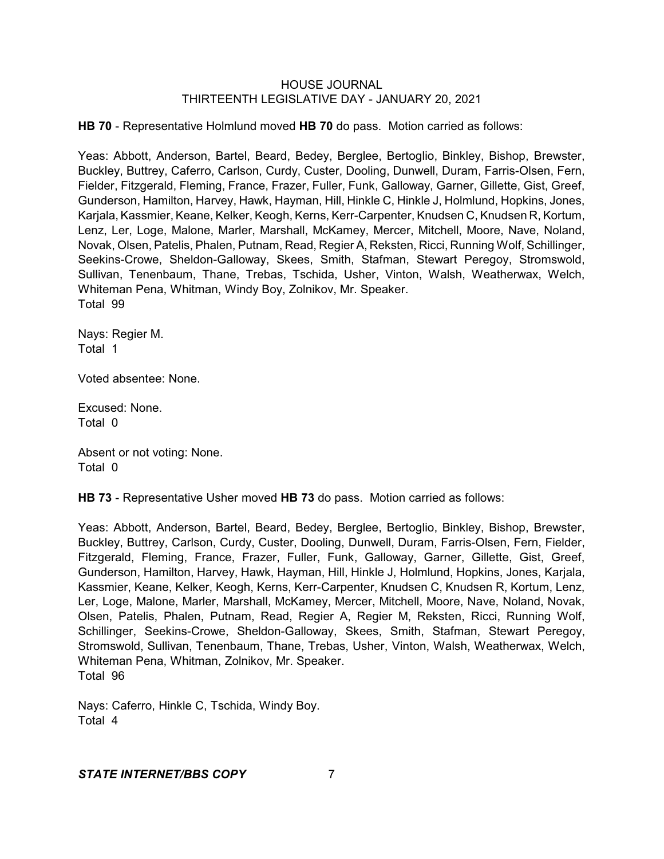**HB 70** - Representative Holmlund moved **HB 70** do pass. Motion carried as follows:

Yeas: Abbott, Anderson, Bartel, Beard, Bedey, Berglee, Bertoglio, Binkley, Bishop, Brewster, Buckley, Buttrey, Caferro, Carlson, Curdy, Custer, Dooling, Dunwell, Duram, Farris-Olsen, Fern, Fielder, Fitzgerald, Fleming, France, Frazer, Fuller, Funk, Galloway, Garner, Gillette, Gist, Greef, Gunderson, Hamilton, Harvey, Hawk, Hayman, Hill, Hinkle C, Hinkle J, Holmlund, Hopkins, Jones, Karjala, Kassmier, Keane, Kelker, Keogh, Kerns, Kerr-Carpenter, Knudsen C, Knudsen R, Kortum, Lenz, Ler, Loge, Malone, Marler, Marshall, McKamey, Mercer, Mitchell, Moore, Nave, Noland, Novak, Olsen, Patelis, Phalen, Putnam, Read, Regier A, Reksten, Ricci, Running Wolf, Schillinger, Seekins-Crowe, Sheldon-Galloway, Skees, Smith, Stafman, Stewart Peregoy, Stromswold, Sullivan, Tenenbaum, Thane, Trebas, Tschida, Usher, Vinton, Walsh, Weatherwax, Welch, Whiteman Pena, Whitman, Windy Boy, Zolnikov, Mr. Speaker. Total 99

Nays: Regier M. Total 1

Voted absentee: None.

Excused: None. Total 0

Absent or not voting: None. Total 0

**HB 73** - Representative Usher moved **HB 73** do pass. Motion carried as follows:

Yeas: Abbott, Anderson, Bartel, Beard, Bedey, Berglee, Bertoglio, Binkley, Bishop, Brewster, Buckley, Buttrey, Carlson, Curdy, Custer, Dooling, Dunwell, Duram, Farris-Olsen, Fern, Fielder, Fitzgerald, Fleming, France, Frazer, Fuller, Funk, Galloway, Garner, Gillette, Gist, Greef, Gunderson, Hamilton, Harvey, Hawk, Hayman, Hill, Hinkle J, Holmlund, Hopkins, Jones, Karjala, Kassmier, Keane, Kelker, Keogh, Kerns, Kerr-Carpenter, Knudsen C, Knudsen R, Kortum, Lenz, Ler, Loge, Malone, Marler, Marshall, McKamey, Mercer, Mitchell, Moore, Nave, Noland, Novak, Olsen, Patelis, Phalen, Putnam, Read, Regier A, Regier M, Reksten, Ricci, Running Wolf, Schillinger, Seekins-Crowe, Sheldon-Galloway, Skees, Smith, Stafman, Stewart Peregoy, Stromswold, Sullivan, Tenenbaum, Thane, Trebas, Usher, Vinton, Walsh, Weatherwax, Welch, Whiteman Pena, Whitman, Zolnikov, Mr. Speaker. Total 96

Nays: Caferro, Hinkle C, Tschida, Windy Boy. Total 4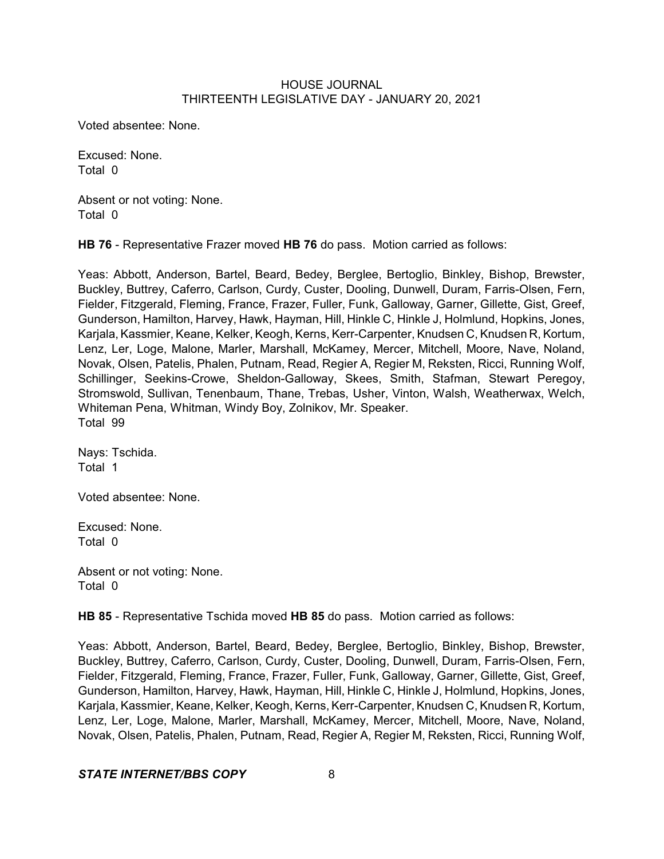Voted absentee: None.

Excused: None. Total 0

Absent or not voting: None. Total 0

**HB 76** - Representative Frazer moved **HB 76** do pass. Motion carried as follows:

Yeas: Abbott, Anderson, Bartel, Beard, Bedey, Berglee, Bertoglio, Binkley, Bishop, Brewster, Buckley, Buttrey, Caferro, Carlson, Curdy, Custer, Dooling, Dunwell, Duram, Farris-Olsen, Fern, Fielder, Fitzgerald, Fleming, France, Frazer, Fuller, Funk, Galloway, Garner, Gillette, Gist, Greef, Gunderson, Hamilton, Harvey, Hawk, Hayman, Hill, Hinkle C, Hinkle J, Holmlund, Hopkins, Jones, Karjala, Kassmier, Keane, Kelker, Keogh, Kerns, Kerr-Carpenter, Knudsen C, Knudsen R, Kortum, Lenz, Ler, Loge, Malone, Marler, Marshall, McKamey, Mercer, Mitchell, Moore, Nave, Noland, Novak, Olsen, Patelis, Phalen, Putnam, Read, Regier A, Regier M, Reksten, Ricci, Running Wolf, Schillinger, Seekins-Crowe, Sheldon-Galloway, Skees, Smith, Stafman, Stewart Peregoy, Stromswold, Sullivan, Tenenbaum, Thane, Trebas, Usher, Vinton, Walsh, Weatherwax, Welch, Whiteman Pena, Whitman, Windy Boy, Zolnikov, Mr. Speaker. Total 99

Nays: Tschida. Total 1

Voted absentee: None.

Excused: None. Total 0

Absent or not voting: None. Total 0

**HB 85** - Representative Tschida moved **HB 85** do pass. Motion carried as follows:

Yeas: Abbott, Anderson, Bartel, Beard, Bedey, Berglee, Bertoglio, Binkley, Bishop, Brewster, Buckley, Buttrey, Caferro, Carlson, Curdy, Custer, Dooling, Dunwell, Duram, Farris-Olsen, Fern, Fielder, Fitzgerald, Fleming, France, Frazer, Fuller, Funk, Galloway, Garner, Gillette, Gist, Greef, Gunderson, Hamilton, Harvey, Hawk, Hayman, Hill, Hinkle C, Hinkle J, Holmlund, Hopkins, Jones, Karjala, Kassmier, Keane, Kelker, Keogh, Kerns, Kerr-Carpenter, Knudsen C, Knudsen R, Kortum, Lenz, Ler, Loge, Malone, Marler, Marshall, McKamey, Mercer, Mitchell, Moore, Nave, Noland, Novak, Olsen, Patelis, Phalen, Putnam, Read, Regier A, Regier M, Reksten, Ricci, Running Wolf,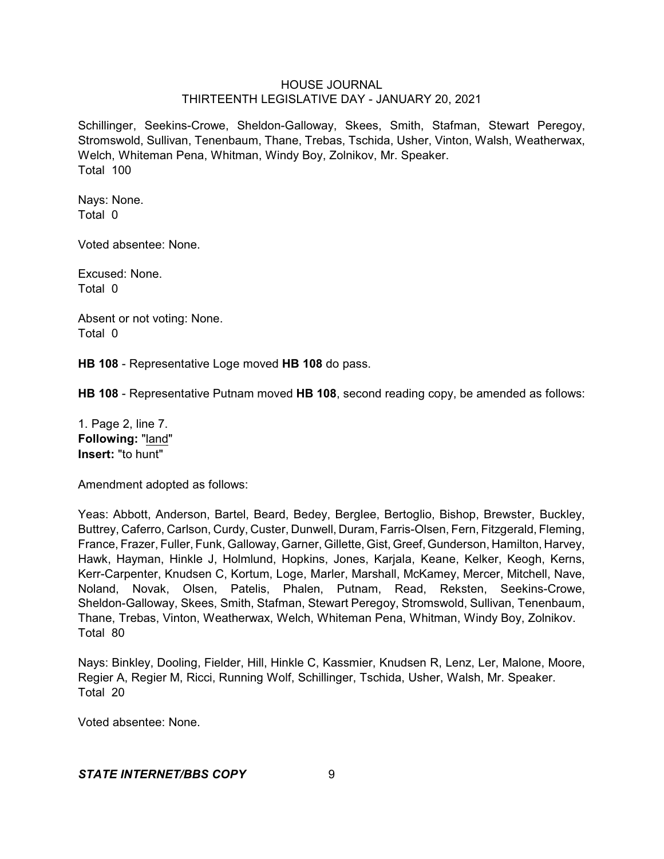Schillinger, Seekins-Crowe, Sheldon-Galloway, Skees, Smith, Stafman, Stewart Peregoy, Stromswold, Sullivan, Tenenbaum, Thane, Trebas, Tschida, Usher, Vinton, Walsh, Weatherwax, Welch, Whiteman Pena, Whitman, Windy Boy, Zolnikov, Mr. Speaker. Total 100

Nays: None. Total 0

Voted absentee: None.

Excused: None. Total 0

Absent or not voting: None. Total 0

**HB 108** - Representative Loge moved **HB 108** do pass.

**HB 108** - Representative Putnam moved **HB 108**, second reading copy, be amended as follows:

1. Page 2, line 7. **Following:** "land" **Insert:** "to hunt"

Amendment adopted as follows:

Yeas: Abbott, Anderson, Bartel, Beard, Bedey, Berglee, Bertoglio, Bishop, Brewster, Buckley, Buttrey, Caferro, Carlson, Curdy, Custer, Dunwell, Duram, Farris-Olsen, Fern, Fitzgerald, Fleming, France, Frazer, Fuller, Funk, Galloway, Garner, Gillette, Gist, Greef, Gunderson, Hamilton, Harvey, Hawk, Hayman, Hinkle J, Holmlund, Hopkins, Jones, Karjala, Keane, Kelker, Keogh, Kerns, Kerr-Carpenter, Knudsen C, Kortum, Loge, Marler, Marshall, McKamey, Mercer, Mitchell, Nave, Noland, Novak, Olsen, Patelis, Phalen, Putnam, Read, Reksten, Seekins-Crowe, Sheldon-Galloway, Skees, Smith, Stafman, Stewart Peregoy, Stromswold, Sullivan, Tenenbaum, Thane, Trebas, Vinton, Weatherwax, Welch, Whiteman Pena, Whitman, Windy Boy, Zolnikov. Total 80

Nays: Binkley, Dooling, Fielder, Hill, Hinkle C, Kassmier, Knudsen R, Lenz, Ler, Malone, Moore, Regier A, Regier M, Ricci, Running Wolf, Schillinger, Tschida, Usher, Walsh, Mr. Speaker. Total 20

Voted absentee: None.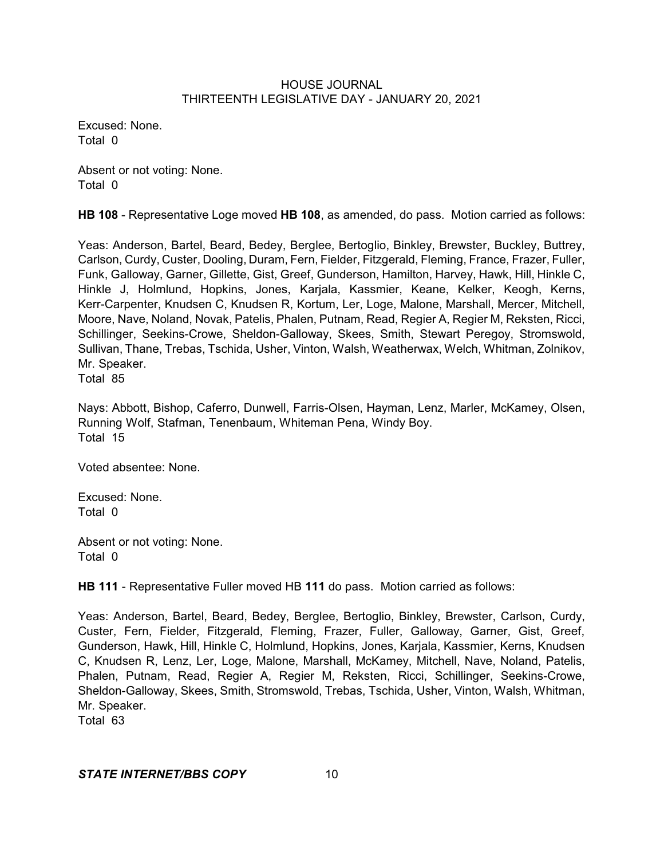Excused: None. Total 0

Absent or not voting: None. Total 0

**HB 108** - Representative Loge moved **HB 108**, as amended, do pass. Motion carried as follows:

Yeas: Anderson, Bartel, Beard, Bedey, Berglee, Bertoglio, Binkley, Brewster, Buckley, Buttrey, Carlson, Curdy, Custer, Dooling, Duram, Fern, Fielder, Fitzgerald, Fleming, France, Frazer, Fuller, Funk, Galloway, Garner, Gillette, Gist, Greef, Gunderson, Hamilton, Harvey, Hawk, Hill, Hinkle C, Hinkle J, Holmlund, Hopkins, Jones, Karjala, Kassmier, Keane, Kelker, Keogh, Kerns, Kerr-Carpenter, Knudsen C, Knudsen R, Kortum, Ler, Loge, Malone, Marshall, Mercer, Mitchell, Moore, Nave, Noland, Novak, Patelis, Phalen, Putnam, Read, Regier A, Regier M, Reksten, Ricci, Schillinger, Seekins-Crowe, Sheldon-Galloway, Skees, Smith, Stewart Peregoy, Stromswold, Sullivan, Thane, Trebas, Tschida, Usher, Vinton, Walsh, Weatherwax, Welch, Whitman, Zolnikov, Mr. Speaker. Total 85

Nays: Abbott, Bishop, Caferro, Dunwell, Farris-Olsen, Hayman, Lenz, Marler, McKamey, Olsen, Running Wolf, Stafman, Tenenbaum, Whiteman Pena, Windy Boy. Total 15

Voted absentee: None.

Excused: None. Total 0

Absent or not voting: None. Total 0

**HB 111** - Representative Fuller moved HB **111** do pass. Motion carried as follows:

Yeas: Anderson, Bartel, Beard, Bedey, Berglee, Bertoglio, Binkley, Brewster, Carlson, Curdy, Custer, Fern, Fielder, Fitzgerald, Fleming, Frazer, Fuller, Galloway, Garner, Gist, Greef, Gunderson, Hawk, Hill, Hinkle C, Holmlund, Hopkins, Jones, Karjala, Kassmier, Kerns, Knudsen C, Knudsen R, Lenz, Ler, Loge, Malone, Marshall, McKamey, Mitchell, Nave, Noland, Patelis, Phalen, Putnam, Read, Regier A, Regier M, Reksten, Ricci, Schillinger, Seekins-Crowe, Sheldon-Galloway, Skees, Smith, Stromswold, Trebas, Tschida, Usher, Vinton, Walsh, Whitman, Mr. Speaker.

Total 63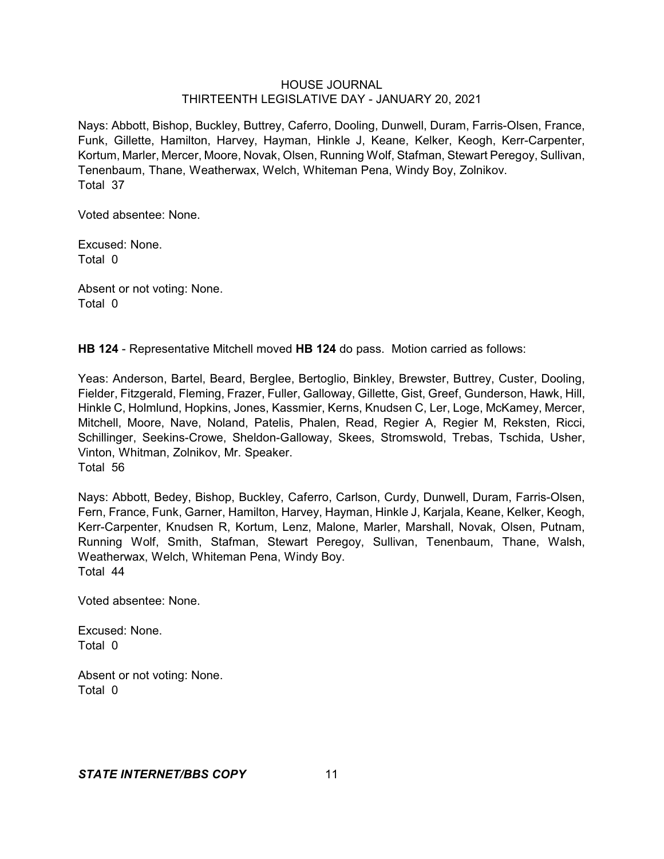Nays: Abbott, Bishop, Buckley, Buttrey, Caferro, Dooling, Dunwell, Duram, Farris-Olsen, France, Funk, Gillette, Hamilton, Harvey, Hayman, Hinkle J, Keane, Kelker, Keogh, Kerr-Carpenter, Kortum, Marler, Mercer, Moore, Novak, Olsen, Running Wolf, Stafman, Stewart Peregoy, Sullivan, Tenenbaum, Thane, Weatherwax, Welch, Whiteman Pena, Windy Boy, Zolnikov. Total 37

Voted absentee: None.

Excused: None. Total 0

Absent or not voting: None. Total 0

**HB 124** - Representative Mitchell moved **HB 124** do pass. Motion carried as follows:

Yeas: Anderson, Bartel, Beard, Berglee, Bertoglio, Binkley, Brewster, Buttrey, Custer, Dooling, Fielder, Fitzgerald, Fleming, Frazer, Fuller, Galloway, Gillette, Gist, Greef, Gunderson, Hawk, Hill, Hinkle C, Holmlund, Hopkins, Jones, Kassmier, Kerns, Knudsen C, Ler, Loge, McKamey, Mercer, Mitchell, Moore, Nave, Noland, Patelis, Phalen, Read, Regier A, Regier M, Reksten, Ricci, Schillinger, Seekins-Crowe, Sheldon-Galloway, Skees, Stromswold, Trebas, Tschida, Usher, Vinton, Whitman, Zolnikov, Mr. Speaker. Total 56

Nays: Abbott, Bedey, Bishop, Buckley, Caferro, Carlson, Curdy, Dunwell, Duram, Farris-Olsen, Fern, France, Funk, Garner, Hamilton, Harvey, Hayman, Hinkle J, Karjala, Keane, Kelker, Keogh, Kerr-Carpenter, Knudsen R, Kortum, Lenz, Malone, Marler, Marshall, Novak, Olsen, Putnam, Running Wolf, Smith, Stafman, Stewart Peregoy, Sullivan, Tenenbaum, Thane, Walsh, Weatherwax, Welch, Whiteman Pena, Windy Boy. Total 44

Voted absentee: None.

Excused: None. Total 0

Absent or not voting: None. Total 0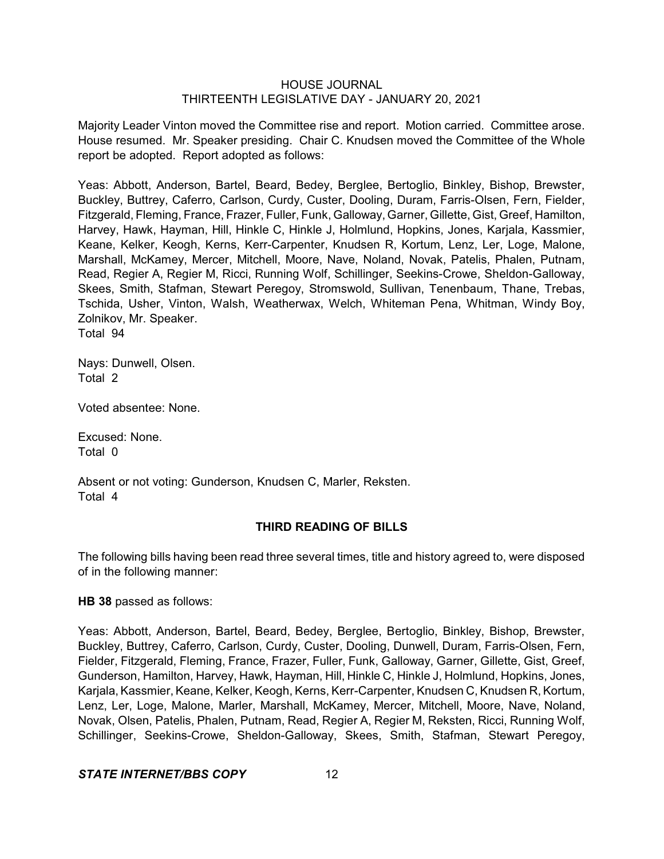Majority Leader Vinton moved the Committee rise and report. Motion carried. Committee arose. House resumed. Mr. Speaker presiding. Chair C. Knudsen moved the Committee of the Whole report be adopted. Report adopted as follows:

Yeas: Abbott, Anderson, Bartel, Beard, Bedey, Berglee, Bertoglio, Binkley, Bishop, Brewster, Buckley, Buttrey, Caferro, Carlson, Curdy, Custer, Dooling, Duram, Farris-Olsen, Fern, Fielder, Fitzgerald, Fleming, France, Frazer, Fuller, Funk, Galloway, Garner, Gillette, Gist, Greef, Hamilton, Harvey, Hawk, Hayman, Hill, Hinkle C, Hinkle J, Holmlund, Hopkins, Jones, Karjala, Kassmier, Keane, Kelker, Keogh, Kerns, Kerr-Carpenter, Knudsen R, Kortum, Lenz, Ler, Loge, Malone, Marshall, McKamey, Mercer, Mitchell, Moore, Nave, Noland, Novak, Patelis, Phalen, Putnam, Read, Regier A, Regier M, Ricci, Running Wolf, Schillinger, Seekins-Crowe, Sheldon-Galloway, Skees, Smith, Stafman, Stewart Peregoy, Stromswold, Sullivan, Tenenbaum, Thane, Trebas, Tschida, Usher, Vinton, Walsh, Weatherwax, Welch, Whiteman Pena, Whitman, Windy Boy, Zolnikov, Mr. Speaker. Total 94

Nays: Dunwell, Olsen. Total 2

Voted absentee: None.

Excused: None. Total 0

Absent or not voting: Gunderson, Knudsen C, Marler, Reksten. Total 4

## **THIRD READING OF BILLS**

The following bills having been read three several times, title and history agreed to, were disposed of in the following manner:

## **HB 38** passed as follows:

Yeas: Abbott, Anderson, Bartel, Beard, Bedey, Berglee, Bertoglio, Binkley, Bishop, Brewster, Buckley, Buttrey, Caferro, Carlson, Curdy, Custer, Dooling, Dunwell, Duram, Farris-Olsen, Fern, Fielder, Fitzgerald, Fleming, France, Frazer, Fuller, Funk, Galloway, Garner, Gillette, Gist, Greef, Gunderson, Hamilton, Harvey, Hawk, Hayman, Hill, Hinkle C, Hinkle J, Holmlund, Hopkins, Jones, Karjala, Kassmier, Keane, Kelker, Keogh, Kerns, Kerr-Carpenter, Knudsen C, Knudsen R, Kortum, Lenz, Ler, Loge, Malone, Marler, Marshall, McKamey, Mercer, Mitchell, Moore, Nave, Noland, Novak, Olsen, Patelis, Phalen, Putnam, Read, Regier A, Regier M, Reksten, Ricci, Running Wolf, Schillinger, Seekins-Crowe, Sheldon-Galloway, Skees, Smith, Stafman, Stewart Peregoy,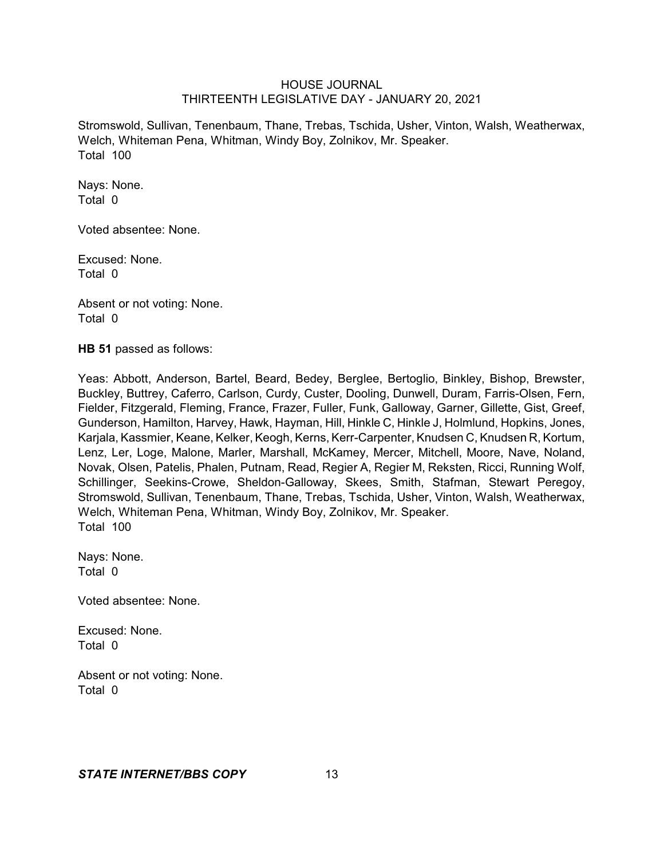Stromswold, Sullivan, Tenenbaum, Thane, Trebas, Tschida, Usher, Vinton, Walsh, Weatherwax, Welch, Whiteman Pena, Whitman, Windy Boy, Zolnikov, Mr. Speaker. Total 100

Nays: None. Total 0

Voted absentee: None.

Excused: None. Total 0

Absent or not voting: None. Total 0

**HB 51** passed as follows:

Yeas: Abbott, Anderson, Bartel, Beard, Bedey, Berglee, Bertoglio, Binkley, Bishop, Brewster, Buckley, Buttrey, Caferro, Carlson, Curdy, Custer, Dooling, Dunwell, Duram, Farris-Olsen, Fern, Fielder, Fitzgerald, Fleming, France, Frazer, Fuller, Funk, Galloway, Garner, Gillette, Gist, Greef, Gunderson, Hamilton, Harvey, Hawk, Hayman, Hill, Hinkle C, Hinkle J, Holmlund, Hopkins, Jones, Karjala, Kassmier, Keane, Kelker, Keogh, Kerns, Kerr-Carpenter, Knudsen C, Knudsen R, Kortum, Lenz, Ler, Loge, Malone, Marler, Marshall, McKamey, Mercer, Mitchell, Moore, Nave, Noland, Novak, Olsen, Patelis, Phalen, Putnam, Read, Regier A, Regier M, Reksten, Ricci, Running Wolf, Schillinger, Seekins-Crowe, Sheldon-Galloway, Skees, Smith, Stafman, Stewart Peregoy, Stromswold, Sullivan, Tenenbaum, Thane, Trebas, Tschida, Usher, Vinton, Walsh, Weatherwax, Welch, Whiteman Pena, Whitman, Windy Boy, Zolnikov, Mr. Speaker. Total 100

Nays: None. Total 0

Voted absentee: None.

Excused: None. Total 0

Absent or not voting: None. Total 0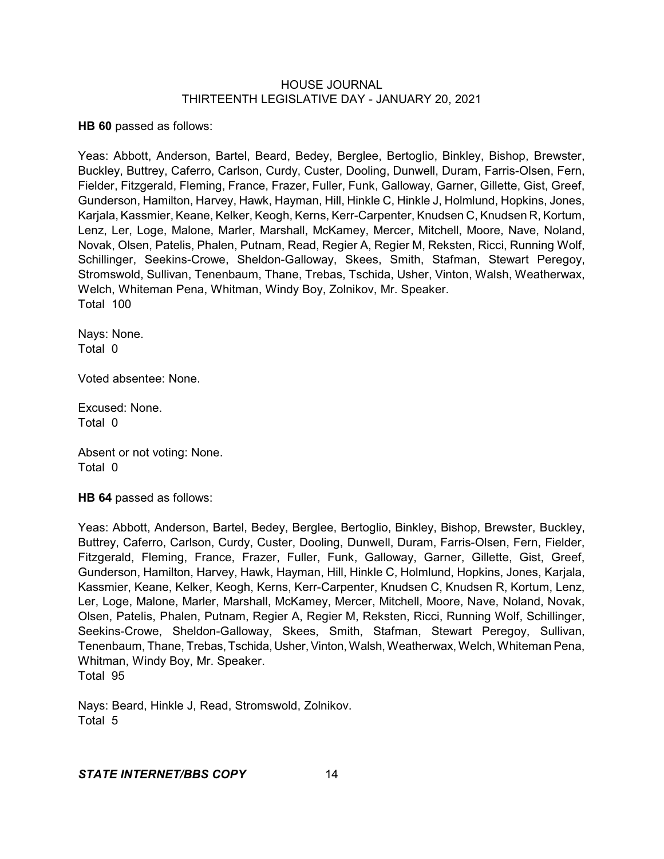**HB 60** passed as follows:

Yeas: Abbott, Anderson, Bartel, Beard, Bedey, Berglee, Bertoglio, Binkley, Bishop, Brewster, Buckley, Buttrey, Caferro, Carlson, Curdy, Custer, Dooling, Dunwell, Duram, Farris-Olsen, Fern, Fielder, Fitzgerald, Fleming, France, Frazer, Fuller, Funk, Galloway, Garner, Gillette, Gist, Greef, Gunderson, Hamilton, Harvey, Hawk, Hayman, Hill, Hinkle C, Hinkle J, Holmlund, Hopkins, Jones, Karjala, Kassmier, Keane, Kelker, Keogh, Kerns, Kerr-Carpenter, Knudsen C, Knudsen R, Kortum, Lenz, Ler, Loge, Malone, Marler, Marshall, McKamey, Mercer, Mitchell, Moore, Nave, Noland, Novak, Olsen, Patelis, Phalen, Putnam, Read, Regier A, Regier M, Reksten, Ricci, Running Wolf, Schillinger, Seekins-Crowe, Sheldon-Galloway, Skees, Smith, Stafman, Stewart Peregoy, Stromswold, Sullivan, Tenenbaum, Thane, Trebas, Tschida, Usher, Vinton, Walsh, Weatherwax, Welch, Whiteman Pena, Whitman, Windy Boy, Zolnikov, Mr. Speaker. Total 100

Nays: None. Total 0

Voted absentee: None.

Excused: None. Total 0

Absent or not voting: None. Total 0

**HB 64** passed as follows:

Yeas: Abbott, Anderson, Bartel, Bedey, Berglee, Bertoglio, Binkley, Bishop, Brewster, Buckley, Buttrey, Caferro, Carlson, Curdy, Custer, Dooling, Dunwell, Duram, Farris-Olsen, Fern, Fielder, Fitzgerald, Fleming, France, Frazer, Fuller, Funk, Galloway, Garner, Gillette, Gist, Greef, Gunderson, Hamilton, Harvey, Hawk, Hayman, Hill, Hinkle C, Holmlund, Hopkins, Jones, Karjala, Kassmier, Keane, Kelker, Keogh, Kerns, Kerr-Carpenter, Knudsen C, Knudsen R, Kortum, Lenz, Ler, Loge, Malone, Marler, Marshall, McKamey, Mercer, Mitchell, Moore, Nave, Noland, Novak, Olsen, Patelis, Phalen, Putnam, Regier A, Regier M, Reksten, Ricci, Running Wolf, Schillinger, Seekins-Crowe, Sheldon-Galloway, Skees, Smith, Stafman, Stewart Peregoy, Sullivan, Tenenbaum, Thane, Trebas, Tschida, Usher, Vinton, Walsh, Weatherwax, Welch, Whiteman Pena, Whitman, Windy Boy, Mr. Speaker. Total 95

Nays: Beard, Hinkle J, Read, Stromswold, Zolnikov. Total 5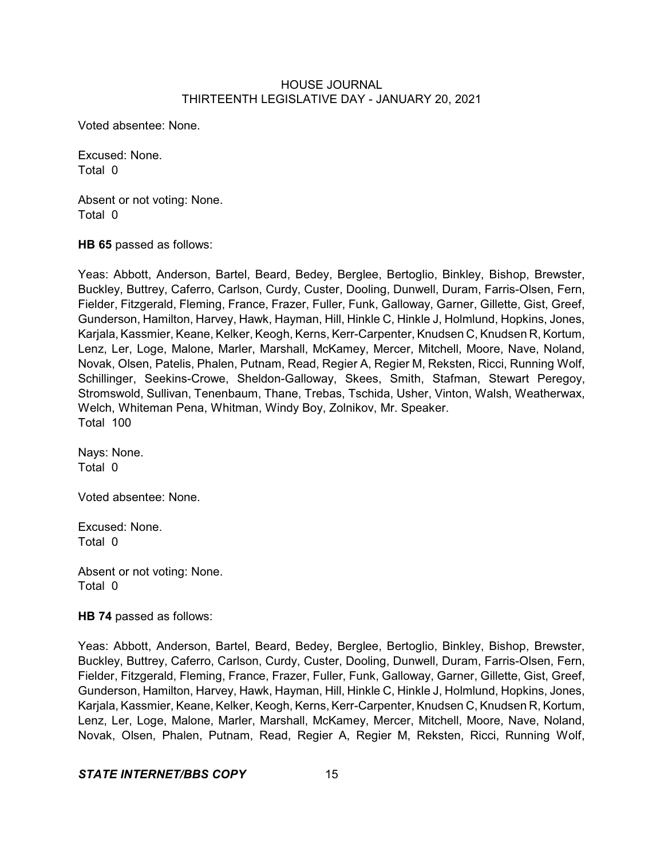Voted absentee: None.

Excused: None. Total 0

Absent or not voting: None. Total 0

**HB 65** passed as follows:

Yeas: Abbott, Anderson, Bartel, Beard, Bedey, Berglee, Bertoglio, Binkley, Bishop, Brewster, Buckley, Buttrey, Caferro, Carlson, Curdy, Custer, Dooling, Dunwell, Duram, Farris-Olsen, Fern, Fielder, Fitzgerald, Fleming, France, Frazer, Fuller, Funk, Galloway, Garner, Gillette, Gist, Greef, Gunderson, Hamilton, Harvey, Hawk, Hayman, Hill, Hinkle C, Hinkle J, Holmlund, Hopkins, Jones, Karjala, Kassmier, Keane, Kelker, Keogh, Kerns, Kerr-Carpenter, Knudsen C, Knudsen R, Kortum, Lenz, Ler, Loge, Malone, Marler, Marshall, McKamey, Mercer, Mitchell, Moore, Nave, Noland, Novak, Olsen, Patelis, Phalen, Putnam, Read, Regier A, Regier M, Reksten, Ricci, Running Wolf, Schillinger, Seekins-Crowe, Sheldon-Galloway, Skees, Smith, Stafman, Stewart Peregoy, Stromswold, Sullivan, Tenenbaum, Thane, Trebas, Tschida, Usher, Vinton, Walsh, Weatherwax, Welch, Whiteman Pena, Whitman, Windy Boy, Zolnikov, Mr. Speaker. Total 100

Nays: None. Total 0

Voted absentee: None.

Excused: None. Total 0

Absent or not voting: None. Total 0

**HB 74** passed as follows:

Yeas: Abbott, Anderson, Bartel, Beard, Bedey, Berglee, Bertoglio, Binkley, Bishop, Brewster, Buckley, Buttrey, Caferro, Carlson, Curdy, Custer, Dooling, Dunwell, Duram, Farris-Olsen, Fern, Fielder, Fitzgerald, Fleming, France, Frazer, Fuller, Funk, Galloway, Garner, Gillette, Gist, Greef, Gunderson, Hamilton, Harvey, Hawk, Hayman, Hill, Hinkle C, Hinkle J, Holmlund, Hopkins, Jones, Karjala, Kassmier, Keane, Kelker, Keogh, Kerns, Kerr-Carpenter, Knudsen C, Knudsen R, Kortum, Lenz, Ler, Loge, Malone, Marler, Marshall, McKamey, Mercer, Mitchell, Moore, Nave, Noland, Novak, Olsen, Phalen, Putnam, Read, Regier A, Regier M, Reksten, Ricci, Running Wolf,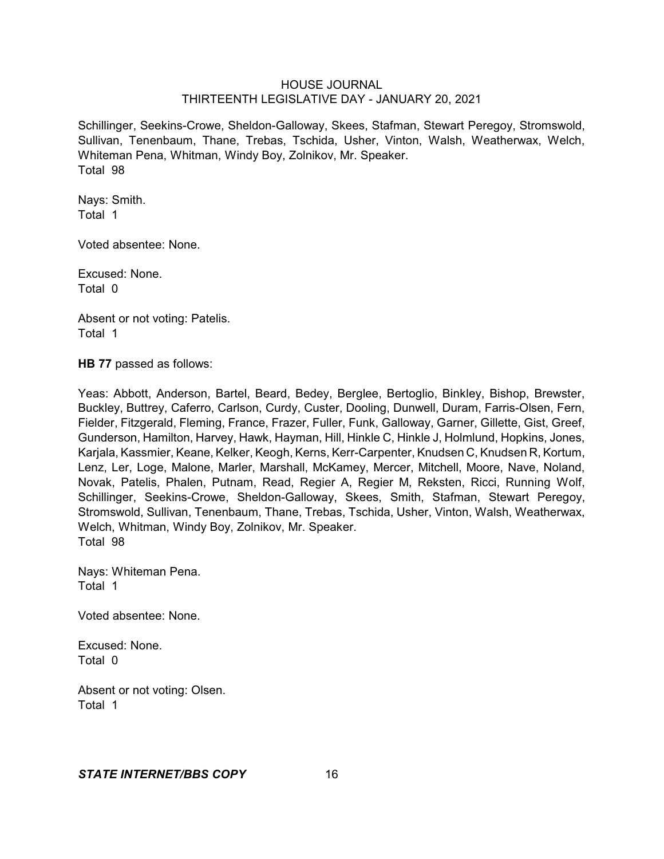Schillinger, Seekins-Crowe, Sheldon-Galloway, Skees, Stafman, Stewart Peregoy, Stromswold, Sullivan, Tenenbaum, Thane, Trebas, Tschida, Usher, Vinton, Walsh, Weatherwax, Welch, Whiteman Pena, Whitman, Windy Boy, Zolnikov, Mr. Speaker. Total 98

Nays: Smith. Total 1

Voted absentee: None.

Excused: None. Total 0

Absent or not voting: Patelis. Total 1

**HB 77** passed as follows:

Yeas: Abbott, Anderson, Bartel, Beard, Bedey, Berglee, Bertoglio, Binkley, Bishop, Brewster, Buckley, Buttrey, Caferro, Carlson, Curdy, Custer, Dooling, Dunwell, Duram, Farris-Olsen, Fern, Fielder, Fitzgerald, Fleming, France, Frazer, Fuller, Funk, Galloway, Garner, Gillette, Gist, Greef, Gunderson, Hamilton, Harvey, Hawk, Hayman, Hill, Hinkle C, Hinkle J, Holmlund, Hopkins, Jones, Karjala, Kassmier, Keane, Kelker, Keogh, Kerns, Kerr-Carpenter, Knudsen C, Knudsen R, Kortum, Lenz, Ler, Loge, Malone, Marler, Marshall, McKamey, Mercer, Mitchell, Moore, Nave, Noland, Novak, Patelis, Phalen, Putnam, Read, Regier A, Regier M, Reksten, Ricci, Running Wolf, Schillinger, Seekins-Crowe, Sheldon-Galloway, Skees, Smith, Stafman, Stewart Peregoy, Stromswold, Sullivan, Tenenbaum, Thane, Trebas, Tschida, Usher, Vinton, Walsh, Weatherwax, Welch, Whitman, Windy Boy, Zolnikov, Mr. Speaker. Total 98

Nays: Whiteman Pena. Total 1

Voted absentee: None.

Excused: None. Total 0

Absent or not voting: Olsen. Total 1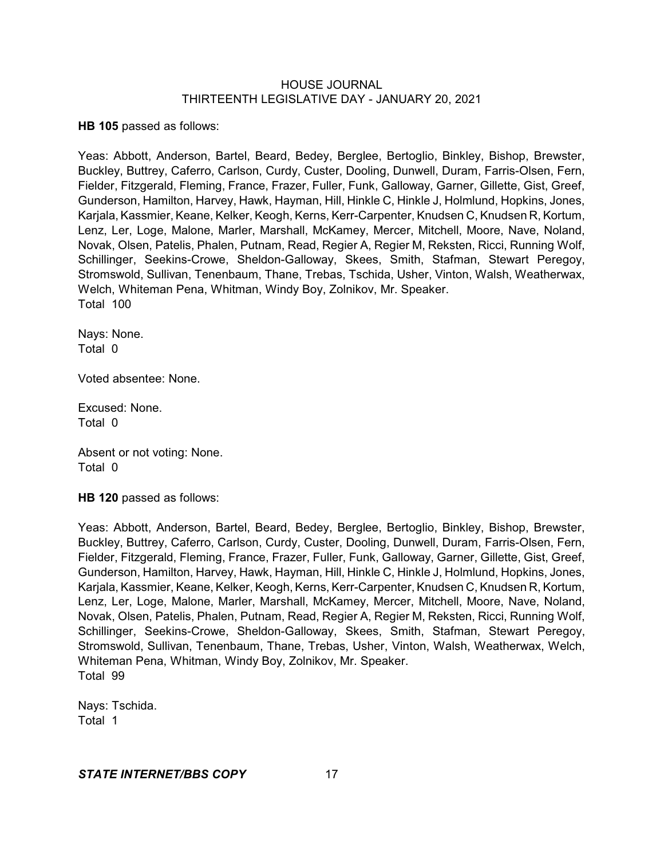**HB 105** passed as follows:

Yeas: Abbott, Anderson, Bartel, Beard, Bedey, Berglee, Bertoglio, Binkley, Bishop, Brewster, Buckley, Buttrey, Caferro, Carlson, Curdy, Custer, Dooling, Dunwell, Duram, Farris-Olsen, Fern, Fielder, Fitzgerald, Fleming, France, Frazer, Fuller, Funk, Galloway, Garner, Gillette, Gist, Greef, Gunderson, Hamilton, Harvey, Hawk, Hayman, Hill, Hinkle C, Hinkle J, Holmlund, Hopkins, Jones, Karjala, Kassmier, Keane, Kelker, Keogh, Kerns, Kerr-Carpenter, Knudsen C, Knudsen R, Kortum, Lenz, Ler, Loge, Malone, Marler, Marshall, McKamey, Mercer, Mitchell, Moore, Nave, Noland, Novak, Olsen, Patelis, Phalen, Putnam, Read, Regier A, Regier M, Reksten, Ricci, Running Wolf, Schillinger, Seekins-Crowe, Sheldon-Galloway, Skees, Smith, Stafman, Stewart Peregoy, Stromswold, Sullivan, Tenenbaum, Thane, Trebas, Tschida, Usher, Vinton, Walsh, Weatherwax, Welch, Whiteman Pena, Whitman, Windy Boy, Zolnikov, Mr. Speaker. Total 100

Nays: None. Total 0

Voted absentee: None.

Excused: None. Total 0

Absent or not voting: None. Total 0

**HB 120** passed as follows:

Yeas: Abbott, Anderson, Bartel, Beard, Bedey, Berglee, Bertoglio, Binkley, Bishop, Brewster, Buckley, Buttrey, Caferro, Carlson, Curdy, Custer, Dooling, Dunwell, Duram, Farris-Olsen, Fern, Fielder, Fitzgerald, Fleming, France, Frazer, Fuller, Funk, Galloway, Garner, Gillette, Gist, Greef, Gunderson, Hamilton, Harvey, Hawk, Hayman, Hill, Hinkle C, Hinkle J, Holmlund, Hopkins, Jones, Karjala, Kassmier, Keane, Kelker, Keogh,Kerns, Kerr-Carpenter, Knudsen C, Knudsen R, Kortum, Lenz, Ler, Loge, Malone, Marler, Marshall, McKamey, Mercer, Mitchell, Moore, Nave, Noland, Novak, Olsen, Patelis, Phalen, Putnam, Read, Regier A, Regier M, Reksten, Ricci, Running Wolf, Schillinger, Seekins-Crowe, Sheldon-Galloway, Skees, Smith, Stafman, Stewart Peregoy, Stromswold, Sullivan, Tenenbaum, Thane, Trebas, Usher, Vinton, Walsh, Weatherwax, Welch, Whiteman Pena, Whitman, Windy Boy, Zolnikov, Mr. Speaker. Total 99

Nays: Tschida. Total 1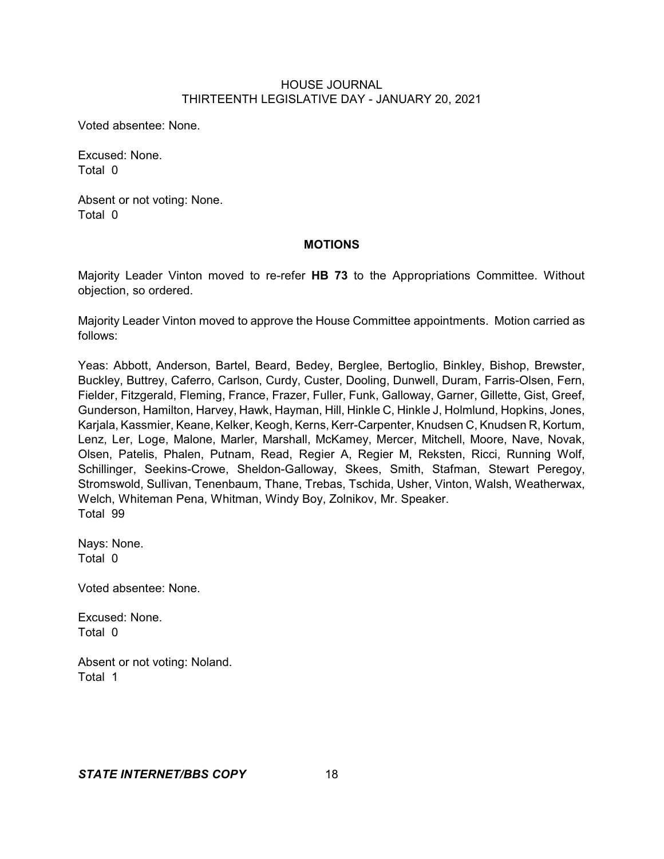Voted absentee: None.

Excused: None. Total 0

Absent or not voting: None. Total 0

## **MOTIONS**

Majority Leader Vinton moved to re-refer **HB 73** to the Appropriations Committee. Without objection, so ordered.

Majority Leader Vinton moved to approve the House Committee appointments. Motion carried as follows:

Yeas: Abbott, Anderson, Bartel, Beard, Bedey, Berglee, Bertoglio, Binkley, Bishop, Brewster, Buckley, Buttrey, Caferro, Carlson, Curdy, Custer, Dooling, Dunwell, Duram, Farris-Olsen, Fern, Fielder, Fitzgerald, Fleming, France, Frazer, Fuller, Funk, Galloway, Garner, Gillette, Gist, Greef, Gunderson, Hamilton, Harvey, Hawk, Hayman, Hill, Hinkle C, Hinkle J, Holmlund, Hopkins, Jones, Karjala, Kassmier, Keane, Kelker, Keogh, Kerns, Kerr-Carpenter, Knudsen C, Knudsen R, Kortum, Lenz, Ler, Loge, Malone, Marler, Marshall, McKamey, Mercer, Mitchell, Moore, Nave, Novak, Olsen, Patelis, Phalen, Putnam, Read, Regier A, Regier M, Reksten, Ricci, Running Wolf, Schillinger, Seekins-Crowe, Sheldon-Galloway, Skees, Smith, Stafman, Stewart Peregoy, Stromswold, Sullivan, Tenenbaum, Thane, Trebas, Tschida, Usher, Vinton, Walsh, Weatherwax, Welch, Whiteman Pena, Whitman, Windy Boy, Zolnikov, Mr. Speaker. Total 99

Nays: None. Total 0

Voted absentee: None.

Excused: None. Total 0

Absent or not voting: Noland. Total 1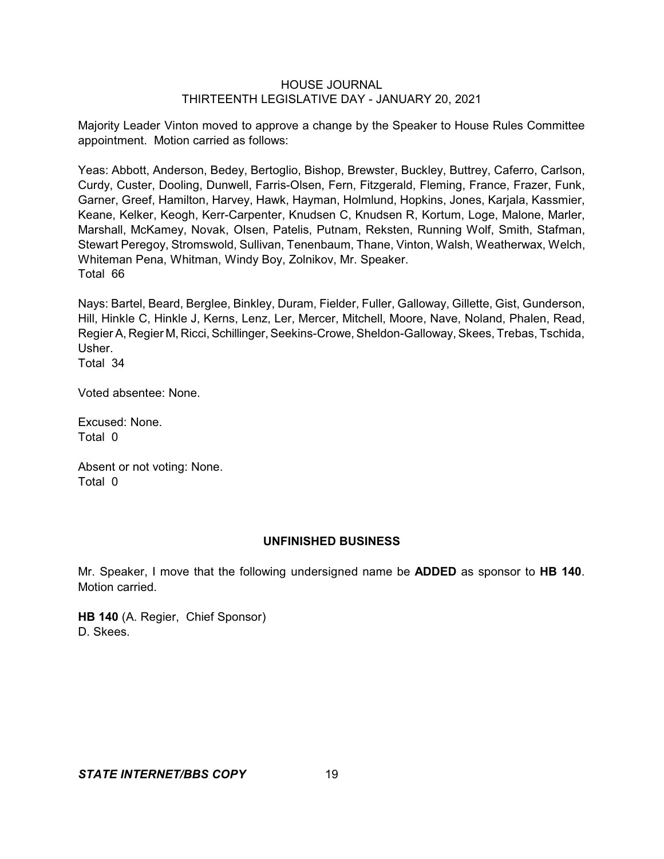Majority Leader Vinton moved to approve a change by the Speaker to House Rules Committee appointment. Motion carried as follows:

Yeas: Abbott, Anderson, Bedey, Bertoglio, Bishop, Brewster, Buckley, Buttrey, Caferro, Carlson, Curdy, Custer, Dooling, Dunwell, Farris-Olsen, Fern, Fitzgerald, Fleming, France, Frazer, Funk, Garner, Greef, Hamilton, Harvey, Hawk, Hayman, Holmlund, Hopkins, Jones, Karjala, Kassmier, Keane, Kelker, Keogh, Kerr-Carpenter, Knudsen C, Knudsen R, Kortum, Loge, Malone, Marler, Marshall, McKamey, Novak, Olsen, Patelis, Putnam, Reksten, Running Wolf, Smith, Stafman, Stewart Peregoy, Stromswold, Sullivan, Tenenbaum, Thane, Vinton, Walsh, Weatherwax, Welch, Whiteman Pena, Whitman, Windy Boy, Zolnikov, Mr. Speaker. Total 66

Nays: Bartel, Beard, Berglee, Binkley, Duram, Fielder, Fuller, Galloway, Gillette, Gist, Gunderson, Hill, Hinkle C, Hinkle J, Kerns, Lenz, Ler, Mercer, Mitchell, Moore, Nave, Noland, Phalen, Read, Regier A, Regier M, Ricci, Schillinger, Seekins-Crowe, Sheldon-Galloway, Skees, Trebas, Tschida, Usher.

Total 34

Voted absentee: None.

Excused: None. Total 0

Absent or not voting: None. Total 0

# **UNFINISHED BUSINESS**

Mr. Speaker, I move that the following undersigned name be **ADDED** as sponsor to **HB 140**. Motion carried.

**HB 140** (A. Regier, Chief Sponsor) D. Skees.